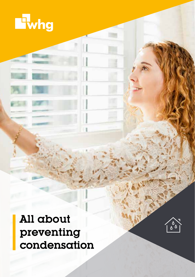



All about preventing condensation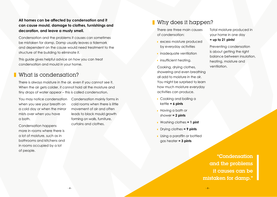### **All homes can be affected by condensation and it can cause mould, damage to clothes, furnishings and decoration, and leave a musty smell.**

Condensation and the problems it causes can sometimes be mistaken for damp. Damp usually leaves a tidemark and dependent on the cause would need treatment to the structure of the building to eliminate it.

This guide gives helpful advice on how you can treat condensation and mould in your home.

### What is condensation?

There is always moisture in the air, even if you cannot see it. When the air gets colder, it cannot hold all the moisture and tiny drops of water appear – this is called condensation.

You may notice condensation when you see your breath on a cold day or when the mirror mists over when you have a bath.

Condensation happens more in rooms where there is a lot of moisture, such as in bathrooms and kitchens and in rooms occupied by a lot of people.

Condensation mainly forms in cold rooms when there is little movement of air and often leads to black mould growth forming on walls, furniture, curtains and clothes.

# Why does it happen?

There are three main causes of condensation:

- **excess moisture produced** by everyday activities
- **i** inadequate ventilation
- **i** insufficient heating.

Cooking, drying clothes, showering and even breathing all add to moisture in the air. You might be surprised to learn how much moisture everyday activities can produce.

- **Cooking and boiling a** kettle **= 6 pints**
- **Having a bath or** shower **= 2 pints**
- Washing clothes **= 1 pint**
- Drying clothes **= 9 pints**
- **Using a paraffin or bottled** gas heater **= 3 pints**

Total moisture produced in your home in one day **= up to 21 pints!**

Preventing condensation is about getting the right balance between insulation, heating, moisture and ventilation.

"Condensation and the problems it causes can be mistaken for damp."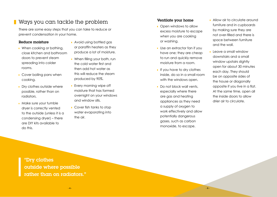## Ways you can tackle the problem

There are some easy steps that you can take to reduce or prevent condensation in your home.

#### Reduce moisture

- When cooking or bathing, close kitchen and bathroom doors to prevent steam spreading into colder rooms.
- Cover boiling pans when cooking.
- Dry clothes outside where possible, rather than on radiators.
- **Make sure your tumble** dryer is correctly vented to the outside (unless it is a condensing dryer) – there are DIY kits available to do this.
- **Avoid using bottled gas** or paraffin heaters as they produce a lot of moisture.
- **When filling your bath, run** the cold water first and then add hot water as this will reduce the steam produced by 90%.
- **Every morning wipe off** moisture that has formed overnight on your windows and window sills.
- **Cover fish tanks to stop** water evaporating into the air.

#### Ventilate your home

- **Open windows to allow** excess moisture to escape when you are cooking or washing.
- **Use an extractor fan if you** have one; they are cheap to run and quickly remove moisture from a room.
- If you have to dry clothes inside, do so in a small room with the windows open.
- Do not block wall vents, especially where there are gas and heating appliances as they need a supply of oxygen to work effectively and allow potentially dangerous gases, such as carbon monoxide, to escape.
- **Allow air to circulate around** furniture and in cupboards by making sure they are not over-filled and there is space between furniture and the wall.
- **Leave a small window** downstairs and a small window upstairs slightly open for about 30 minutes each day. They should be on opposite sides of the house or diagonally opposite if you live in a flat. At the same time, open all the inside doors to allow drier air to circulate.

"Dry clothes outside where possible rather than on radiators."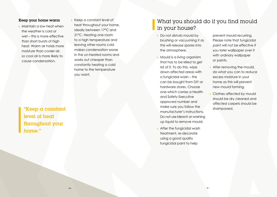#### Keep your home warm

**Maintain a low heat when** the weather is cold or wet – this is more effective than short bursts of high heat. Warm air holds more moisture than cooler air, so cool air is more likely to cause condensation.

Keep a constant level of heat throughout your home, ideally between 17°C and 21°C. Heating one room to a high temperature and leaving other rooms cold makes condensation worse in the un-heated rooms and works out cheaper than constantly heating a cold home to the temperature you want.

"Keep a constant level of heat throughout your home."

### What you should do if you find mould in your house?

- Do not disturb mould by brushing or vacuuming it as this will release spores into the atmosphere.
- **Mould is a living organism** that has to be killed to get rid of it. To do this, wipe down affected areas with a fungicidal wash – this can be bought from DIY or hardware stores. Choose one which carries a Health and Safety Executive approved number and make sure you follow the manufacturer's instructions. Do not use bleach or washing up liquid to remove mould.
- **After the fungicidal wash** treatment, re-decorate using a good quality fungicidal paint to help

prevent mould recurring. Please note that fungicidal paint will not be effective if you later wallpaper over it with ordinary wallpaper or paints.

- After removing the mould, do what you can to reduce excess moisture in your home as this will prevent new mould forming.
- Clothes affected by mould should be dry cleaned and affected carpets should be shampooed.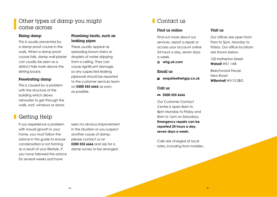## Other types of damp you might come across

#### Rising damp

This is usually prevented by a damp proof course in the walls. When a damp proof course fails, damp wall plaster can usually be seen as a distinct tide mark above the skirting board.

#### Penetrating damp

This is caused by a problem with the structure of the building which allows rainwater to get through the walls, roof, windows or doors.

# **Getting Help**

If you experience a problem with mould growth in your home, you must follow the advice in this guide to ensure condensation is not forming as a result of your lifestyle. If you have followed this advice for several weeks and have

seen no obvious improvement in the situation or you suspect another cause of damp, please contact us on **0300 555 6666** and ask for a damp survey to be arranged.

Plumbing faults, such as

These usually appear as spreading brown stains or droplets of water dripping from a ceiling. They can cause significant damage, so any suspected leaking pipework should be reported to the customer services team on **0300 555 6666** as soon

leaking pipes

as possible.

# Contact us

### Find us online

Find out more about our services, report a repair or access your account online 24 hours a day, seven days a week.

**whg.uk.com**

#### Email us

**enquiries@whgrp.co.uk**

#### Call us

#### **0300 555 6666**

Our Customer Contact Centre is open 8am to 8pm Monday to Friday and 8am to 1pm on Saturdays. **Emergency repairs can be reported 24 hours a day, seven days a week.** 

Calls are charged at local rates, including from mobiles.

### Visit us

Our offices are open from 9am to 5pm, Monday to Friday. Our office locations are shown below.

100 Hatherton Street **Walsall** WS1 1AB

Beechwood House New Road **Willenhall** WV13 2BG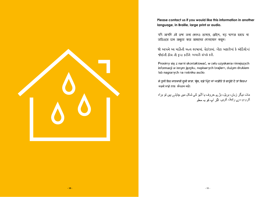**Please contact us if you would like this information in another language, in Braille, large print or audio.**

যদি আপনি এই তথ্য অন্য কোনও ভাষায়, ব্রেইলে, বড ছাপার হরফে বা অডিওতে চান অনুগ্রহ করে আমাদের যোগাযোগ কর্নন।

જો આપને આ માહિતી અન્ય ભાષામાં. બ્રેઈલમાં. મોટા અક્ષરોમાં કે ઑડિયોમાં જોઈતી ફોચ તો કૃપા કરીને અમારો સંપર્ક કરો.

Prosimy się z nami skontaktować, w celu uzyskania niniejszych informacji w innym języku, napisanych brajlem, dużym drukiem lub nagranych na nośniku audio.

ਜੇ ਤੁਸੀਂ ਇਹ ਜਾਣਕਾਰੀ ਦੂਜੀ ਭਾਸ਼ਾ, ਬੇਲ, ਵਡੇ ਪਿੰਟ ਜਾਂ ਆਡੀਓ ਤੇ ਚਾਹੁੰਦੇ ਹੋ ਤਾਂ ਕਿਰਪਾ ਕਰਕੇ ਸਾਡੇ ਨਾਲ ਸੰਪਰਕ ਕਰੋ।

مات دیگر زبان، بریل، بڑے حروف یا آڈیو کی شکل میں چاہتے ہیں تو براہ کرم ہم سے رابطہ کریں۔ اگر آپ کو یہ معلو